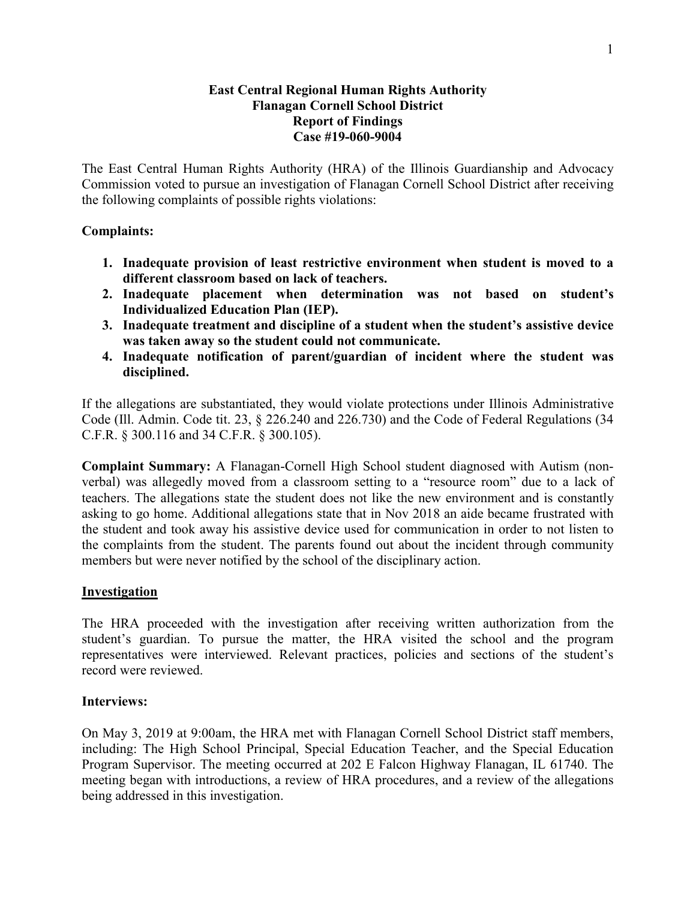#### **East Central Regional Human Rights Authority Flanagan Cornell School District Report of Findings Case #19-060-9004**

The East Central Human Rights Authority (HRA) of the Illinois Guardianship and Advocacy Commission voted to pursue an investigation of Flanagan Cornell School District after receiving the following complaints of possible rights violations:

## **Complaints:**

- **1. Inadequate provision of least restrictive environment when student is moved to a different classroom based on lack of teachers.**
- **2. Inadequate placement when determination was not based on student's Individualized Education Plan (IEP).**
- **3. Inadequate treatment and discipline of a student when the student's assistive device was taken away so the student could not communicate.**
- **4. Inadequate notification of parent/guardian of incident where the student was disciplined.**

If the allegations are substantiated, they would violate protections under Illinois Administrative Code (Ill. Admin. Code tit. 23, § 226.240 and 226.730) and the Code of Federal Regulations (34 C.F.R. § 300.116 and 34 C.F.R. § 300.105).

**Complaint Summary:** A Flanagan-Cornell High School student diagnosed with Autism (nonverbal) was allegedly moved from a classroom setting to a "resource room" due to a lack of teachers. The allegations state the student does not like the new environment and is constantly asking to go home. Additional allegations state that in Nov 2018 an aide became frustrated with the student and took away his assistive device used for communication in order to not listen to the complaints from the student. The parents found out about the incident through community members but were never notified by the school of the disciplinary action.

### **Investigation**

The HRA proceeded with the investigation after receiving written authorization from the student's guardian. To pursue the matter, the HRA visited the school and the program representatives were interviewed. Relevant practices, policies and sections of the student's record were reviewed.

### **Interviews:**

On May 3, 2019 at 9:00am, the HRA met with Flanagan Cornell School District staff members, including: The High School Principal, Special Education Teacher, and the Special Education Program Supervisor. The meeting occurred at 202 E Falcon Highway Flanagan, IL 61740. The meeting began with introductions, a review of HRA procedures, and a review of the allegations being addressed in this investigation.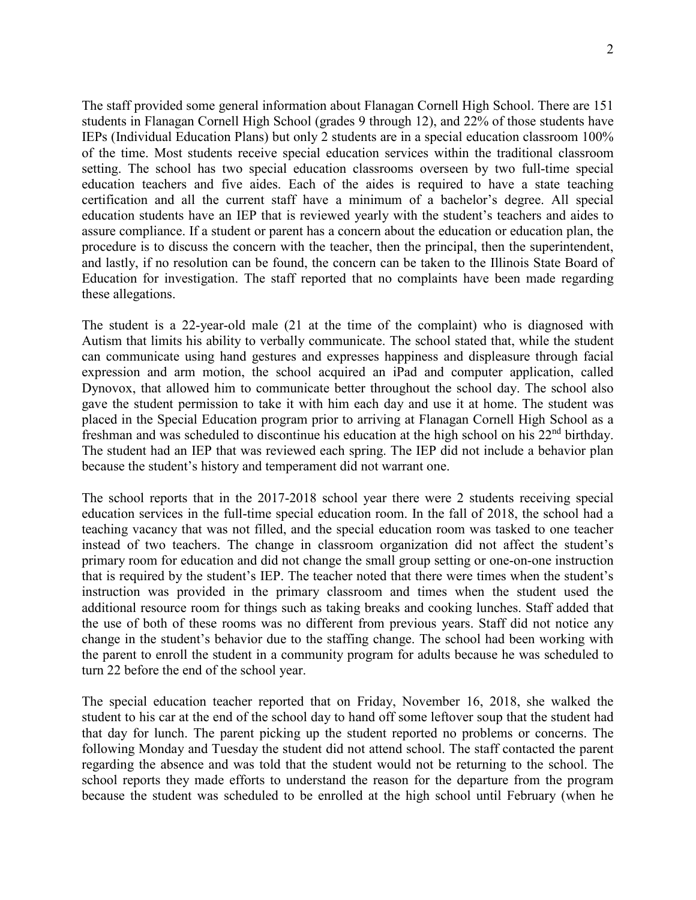The staff provided some general information about Flanagan Cornell High School. There are 151 students in Flanagan Cornell High School (grades 9 through 12), and 22% of those students have IEPs (Individual Education Plans) but only 2 students are in a special education classroom 100% of the time. Most students receive special education services within the traditional classroom setting. The school has two special education classrooms overseen by two full-time special education teachers and five aides. Each of the aides is required to have a state teaching certification and all the current staff have a minimum of a bachelor's degree. All special education students have an IEP that is reviewed yearly with the student's teachers and aides to assure compliance. If a student or parent has a concern about the education or education plan, the procedure is to discuss the concern with the teacher, then the principal, then the superintendent, and lastly, if no resolution can be found, the concern can be taken to the Illinois State Board of Education for investigation. The staff reported that no complaints have been made regarding these allegations.

The student is a 22-year-old male (21 at the time of the complaint) who is diagnosed with Autism that limits his ability to verbally communicate. The school stated that, while the student can communicate using hand gestures and expresses happiness and displeasure through facial expression and arm motion, the school acquired an iPad and computer application, called Dynovox, that allowed him to communicate better throughout the school day. The school also gave the student permission to take it with him each day and use it at home. The student was placed in the Special Education program prior to arriving at Flanagan Cornell High School as a freshman and was scheduled to discontinue his education at the high school on his 22nd birthday. The student had an IEP that was reviewed each spring. The IEP did not include a behavior plan because the student's history and temperament did not warrant one.

The school reports that in the 2017-2018 school year there were 2 students receiving special education services in the full-time special education room. In the fall of 2018, the school had a teaching vacancy that was not filled, and the special education room was tasked to one teacher instead of two teachers. The change in classroom organization did not affect the student's primary room for education and did not change the small group setting or one-on-one instruction that is required by the student's IEP. The teacher noted that there were times when the student's instruction was provided in the primary classroom and times when the student used the additional resource room for things such as taking breaks and cooking lunches. Staff added that the use of both of these rooms was no different from previous years. Staff did not notice any change in the student's behavior due to the staffing change. The school had been working with the parent to enroll the student in a community program for adults because he was scheduled to turn 22 before the end of the school year.

The special education teacher reported that on Friday, November 16, 2018, she walked the student to his car at the end of the school day to hand off some leftover soup that the student had that day for lunch. The parent picking up the student reported no problems or concerns. The following Monday and Tuesday the student did not attend school. The staff contacted the parent regarding the absence and was told that the student would not be returning to the school. The school reports they made efforts to understand the reason for the departure from the program because the student was scheduled to be enrolled at the high school until February (when he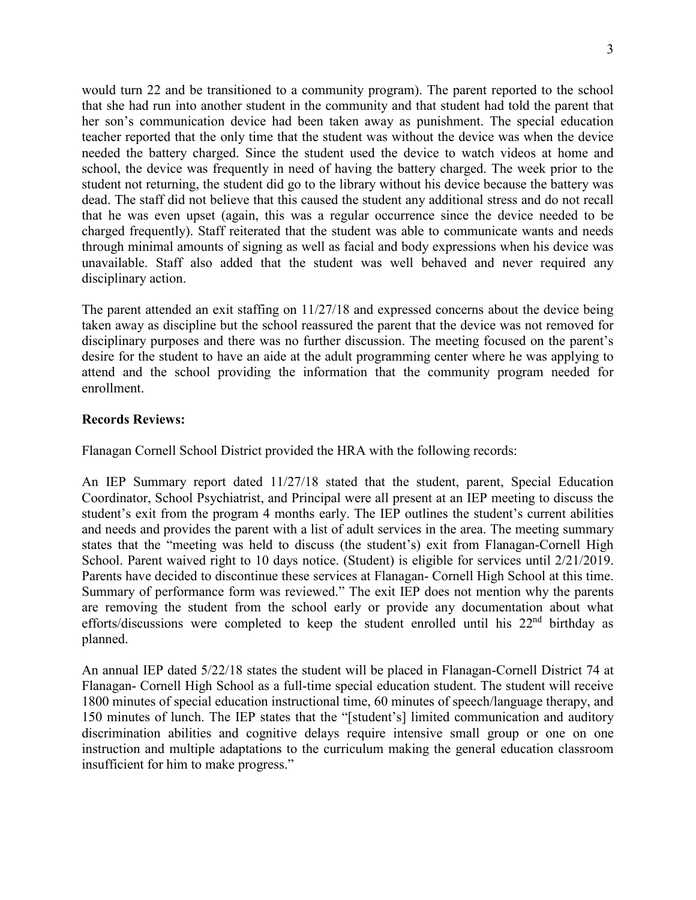would turn 22 and be transitioned to a community program). The parent reported to the school that she had run into another student in the community and that student had told the parent that her son's communication device had been taken away as punishment. The special education teacher reported that the only time that the student was without the device was when the device needed the battery charged. Since the student used the device to watch videos at home and school, the device was frequently in need of having the battery charged. The week prior to the student not returning, the student did go to the library without his device because the battery was dead. The staff did not believe that this caused the student any additional stress and do not recall that he was even upset (again, this was a regular occurrence since the device needed to be charged frequently). Staff reiterated that the student was able to communicate wants and needs through minimal amounts of signing as well as facial and body expressions when his device was unavailable. Staff also added that the student was well behaved and never required any disciplinary action.

The parent attended an exit staffing on 11/27/18 and expressed concerns about the device being taken away as discipline but the school reassured the parent that the device was not removed for disciplinary purposes and there was no further discussion. The meeting focused on the parent's desire for the student to have an aide at the adult programming center where he was applying to attend and the school providing the information that the community program needed for enrollment.

### **Records Reviews:**

Flanagan Cornell School District provided the HRA with the following records:

An IEP Summary report dated 11/27/18 stated that the student, parent, Special Education Coordinator, School Psychiatrist, and Principal were all present at an IEP meeting to discuss the student's exit from the program 4 months early. The IEP outlines the student's current abilities and needs and provides the parent with a list of adult services in the area. The meeting summary states that the "meeting was held to discuss (the student's) exit from Flanagan-Cornell High School. Parent waived right to 10 days notice. (Student) is eligible for services until 2/21/2019. Parents have decided to discontinue these services at Flanagan- Cornell High School at this time. Summary of performance form was reviewed." The exit IEP does not mention why the parents are removing the student from the school early or provide any documentation about what efforts/discussions were completed to keep the student enrolled until his  $22<sup>nd</sup>$  birthday as planned.

An annual IEP dated 5/22/18 states the student will be placed in Flanagan-Cornell District 74 at Flanagan- Cornell High School as a full-time special education student. The student will receive 1800 minutes of special education instructional time, 60 minutes of speech/language therapy, and 150 minutes of lunch. The IEP states that the "[student's] limited communication and auditory discrimination abilities and cognitive delays require intensive small group or one on one instruction and multiple adaptations to the curriculum making the general education classroom insufficient for him to make progress."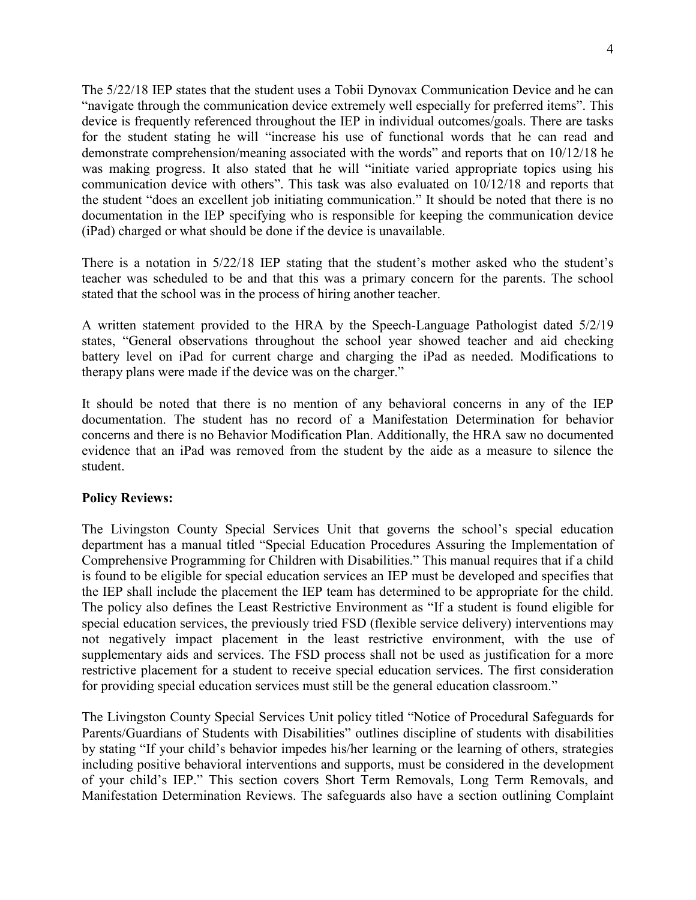The 5/22/18 IEP states that the student uses a Tobii Dynovax Communication Device and he can "navigate through the communication device extremely well especially for preferred items". This device is frequently referenced throughout the IEP in individual outcomes/goals. There are tasks for the student stating he will "increase his use of functional words that he can read and demonstrate comprehension/meaning associated with the words" and reports that on 10/12/18 he was making progress. It also stated that he will "initiate varied appropriate topics using his communication device with others". This task was also evaluated on 10/12/18 and reports that the student "does an excellent job initiating communication." It should be noted that there is no documentation in the IEP specifying who is responsible for keeping the communication device (iPad) charged or what should be done if the device is unavailable.

There is a notation in 5/22/18 IEP stating that the student's mother asked who the student's teacher was scheduled to be and that this was a primary concern for the parents. The school stated that the school was in the process of hiring another teacher.

A written statement provided to the HRA by the Speech-Language Pathologist dated 5/2/19 states, "General observations throughout the school year showed teacher and aid checking battery level on iPad for current charge and charging the iPad as needed. Modifications to therapy plans were made if the device was on the charger."

It should be noted that there is no mention of any behavioral concerns in any of the IEP documentation. The student has no record of a Manifestation Determination for behavior concerns and there is no Behavior Modification Plan. Additionally, the HRA saw no documented evidence that an iPad was removed from the student by the aide as a measure to silence the student.

### **Policy Reviews:**

The Livingston County Special Services Unit that governs the school's special education department has a manual titled "Special Education Procedures Assuring the Implementation of Comprehensive Programming for Children with Disabilities." This manual requires that if a child is found to be eligible for special education services an IEP must be developed and specifies that the IEP shall include the placement the IEP team has determined to be appropriate for the child. The policy also defines the Least Restrictive Environment as "If a student is found eligible for special education services, the previously tried FSD (flexible service delivery) interventions may not negatively impact placement in the least restrictive environment, with the use of supplementary aids and services. The FSD process shall not be used as justification for a more restrictive placement for a student to receive special education services. The first consideration for providing special education services must still be the general education classroom."

The Livingston County Special Services Unit policy titled "Notice of Procedural Safeguards for Parents/Guardians of Students with Disabilities" outlines discipline of students with disabilities by stating "If your child's behavior impedes his/her learning or the learning of others, strategies including positive behavioral interventions and supports, must be considered in the development of your child's IEP." This section covers Short Term Removals, Long Term Removals, and Manifestation Determination Reviews. The safeguards also have a section outlining Complaint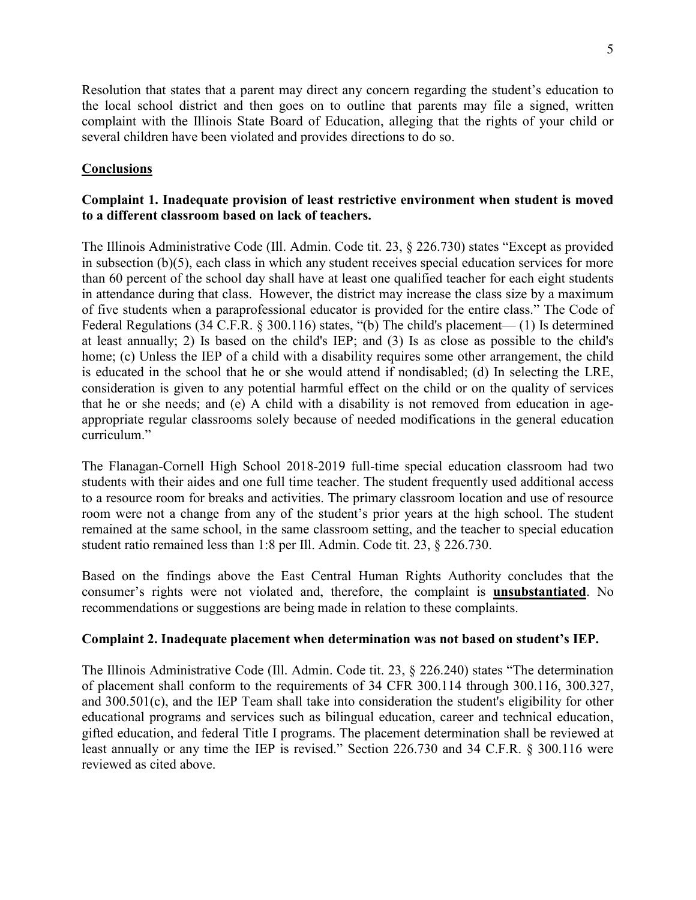Resolution that states that a parent may direct any concern regarding the student's education to the local school district and then goes on to outline that parents may file a signed, written complaint with the Illinois State Board of Education, alleging that the rights of your child or several children have been violated and provides directions to do so.

# **Conclusions**

# **Complaint 1. Inadequate provision of least restrictive environment when student is moved to a different classroom based on lack of teachers.**

The Illinois Administrative Code (Ill. Admin. Code tit. 23, § 226.730) states "Except as provided in subsection (b)(5), each class in which any student receives special education services for more than 60 percent of the school day shall have at least one qualified teacher for each eight students in attendance during that class. However, the district may increase the class size by a maximum of five students when a paraprofessional educator is provided for the entire class." The Code of Federal Regulations (34 C.F.R. § 300.116) states, "(b) The child's placement— (1) Is determined at least annually; 2) Is based on the child's IEP; and (3) Is as close as possible to the child's home; (c) Unless the IEP of a child with a disability requires some other arrangement, the child is educated in the school that he or she would attend if nondisabled; (d) In selecting the LRE, consideration is given to any potential harmful effect on the child or on the quality of services that he or she needs; and (e) A child with a disability is not removed from education in ageappropriate regular classrooms solely because of needed modifications in the general education curriculum."

The Flanagan-Cornell High School 2018-2019 full-time special education classroom had two students with their aides and one full time teacher. The student frequently used additional access to a resource room for breaks and activities. The primary classroom location and use of resource room were not a change from any of the student's prior years at the high school. The student remained at the same school, in the same classroom setting, and the teacher to special education student ratio remained less than 1:8 per Ill. Admin. Code tit. 23, § 226.730.

Based on the findings above the East Central Human Rights Authority concludes that the consumer's rights were not violated and, therefore, the complaint is **unsubstantiated**. No recommendations or suggestions are being made in relation to these complaints.

### **Complaint 2. Inadequate placement when determination was not based on student's IEP.**

The Illinois Administrative Code (Ill. Admin. Code tit. 23, § 226.240) states "The determination of placement shall conform to the requirements of 34 CFR 300.114 through 300.116, 300.327, and 300.501(c), and the IEP Team shall take into consideration the student's eligibility for other educational programs and services such as bilingual education, career and technical education, gifted education, and federal Title I programs. The placement determination shall be reviewed at least annually or any time the IEP is revised." Section 226.730 and 34 C.F.R. § 300.116 were reviewed as cited above.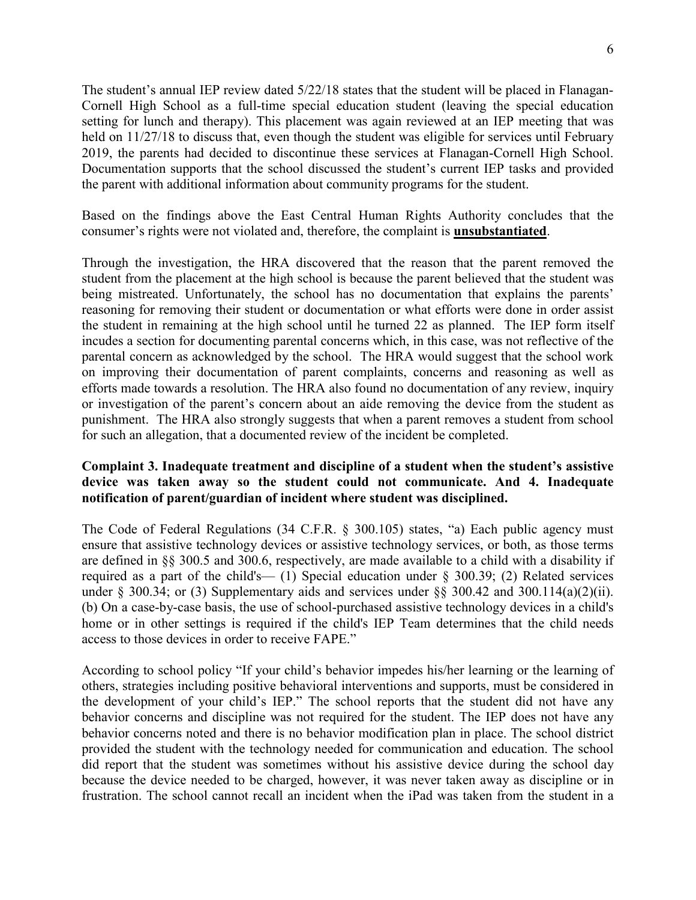The student's annual IEP review dated 5/22/18 states that the student will be placed in Flanagan-Cornell High School as a full-time special education student (leaving the special education setting for lunch and therapy). This placement was again reviewed at an IEP meeting that was held on  $11/27/18$  to discuss that, even though the student was eligible for services until February 2019, the parents had decided to discontinue these services at Flanagan-Cornell High School. Documentation supports that the school discussed the student's current IEP tasks and provided the parent with additional information about community programs for the student.

Based on the findings above the East Central Human Rights Authority concludes that the consumer's rights were not violated and, therefore, the complaint is **unsubstantiated**.

Through the investigation, the HRA discovered that the reason that the parent removed the student from the placement at the high school is because the parent believed that the student was being mistreated. Unfortunately, the school has no documentation that explains the parents' reasoning for removing their student or documentation or what efforts were done in order assist the student in remaining at the high school until he turned 22 as planned. The IEP form itself incudes a section for documenting parental concerns which, in this case, was not reflective of the parental concern as acknowledged by the school. The HRA would suggest that the school work on improving their documentation of parent complaints, concerns and reasoning as well as efforts made towards a resolution. The HRA also found no documentation of any review, inquiry or investigation of the parent's concern about an aide removing the device from the student as punishment. The HRA also strongly suggests that when a parent removes a student from school for such an allegation, that a documented review of the incident be completed.

## **Complaint 3. Inadequate treatment and discipline of a student when the student's assistive device was taken away so the student could not communicate. And 4. Inadequate notification of parent/guardian of incident where student was disciplined.**

The Code of Federal Regulations (34 C.F.R. § 300.105) states, "a) Each public agency must ensure that assistive technology devices or assistive technology services, or both, as those terms are defined in [§§ 300.5](https://1.next.westlaw.com/Link/Document/FullText?findType=L&pubNum=1000547&cite=34CFRS300.5&originatingDoc=N9F62BAE05FB011E7983AEAA12C9A2F99&refType=VP&originationContext=document&transitionType=DocumentItem&contextData=(sc.Category)) and [300.6,](https://1.next.westlaw.com/Link/Document/FullText?findType=L&pubNum=1000547&cite=34CFRS300.6&originatingDoc=N9F62BAE05FB011E7983AEAA12C9A2F99&refType=VP&originationContext=document&transitionType=DocumentItem&contextData=(sc.Category)) respectively, are made available to a child with a disability if required as a part of the child's— (1) Special education under  $\S$  300.39; (2) Related services under [§ 300.34;](https://1.next.westlaw.com/Link/Document/FullText?findType=L&pubNum=1000547&cite=34CFRS300.34&originatingDoc=N9F62BAE05FB011E7983AEAA12C9A2F99&refType=VP&originationContext=document&transitionType=DocumentItem&contextData=(sc.Category)) or (3) Supplementary aids and services under [§§ 300.42](https://1.next.westlaw.com/Link/Document/FullText?findType=L&pubNum=1000547&cite=34CFRS300.42&originatingDoc=N9F62BAE05FB011E7983AEAA12C9A2F99&refType=VP&originationContext=document&transitionType=DocumentItem&contextData=(sc.Category)) and [300.114\(a\)\(2\)\(ii\).](https://1.next.westlaw.com/Link/Document/FullText?findType=L&pubNum=1000547&cite=34CFRS300.114&originatingDoc=N9F62BAE05FB011E7983AEAA12C9A2F99&refType=VB&originationContext=document&transitionType=DocumentItem&contextData=(sc.Category)#co_pp_7ac90000f47f3) (b) On a case-by-case basis, the use of school-purchased assistive technology devices in a child's home or in other settings is required if the child's IEP Team determines that the child needs access to those devices in order to receive FAPE."

According to school policy "If your child's behavior impedes his/her learning or the learning of others, strategies including positive behavioral interventions and supports, must be considered in the development of your child's IEP." The school reports that the student did not have any behavior concerns and discipline was not required for the student. The IEP does not have any behavior concerns noted and there is no behavior modification plan in place. The school district provided the student with the technology needed for communication and education. The school did report that the student was sometimes without his assistive device during the school day because the device needed to be charged, however, it was never taken away as discipline or in frustration. The school cannot recall an incident when the iPad was taken from the student in a